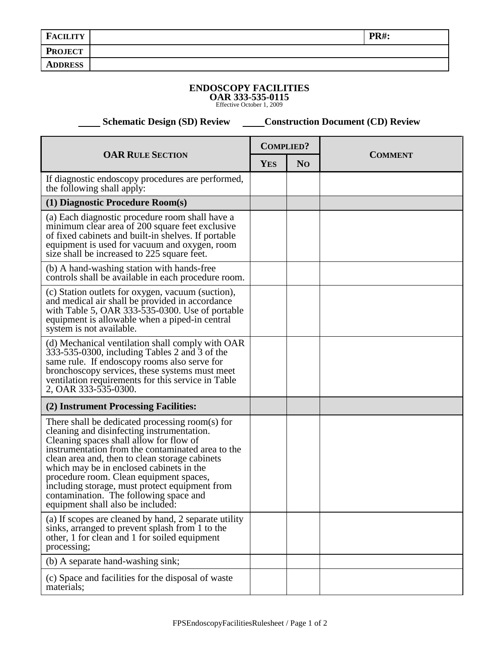| <b>FACILITY</b> | <b>PR#:</b> |
|-----------------|-------------|
| <b>PROJECT</b>  |             |
| <b>ADDRESS</b>  |             |
|                 |             |

## **ENDOSCOPY FACILITIES**

**OAR 333-535-0115** Effective October 1, 2009

 **Schematic Design (SD) Review Construction Document (CD) Review** 

| <b>OAR RULE SECTION</b>                                                                                                                                                                                                                                                                                                                                                                                                                                                 |  | <b>COMPLIED?</b> |                |
|-------------------------------------------------------------------------------------------------------------------------------------------------------------------------------------------------------------------------------------------------------------------------------------------------------------------------------------------------------------------------------------------------------------------------------------------------------------------------|--|------------------|----------------|
|                                                                                                                                                                                                                                                                                                                                                                                                                                                                         |  | N <sub>O</sub>   | <b>COMMENT</b> |
| If diagnostic endoscopy procedures are performed,<br>the following shall apply:                                                                                                                                                                                                                                                                                                                                                                                         |  |                  |                |
| (1) Diagnostic Procedure Room(s)                                                                                                                                                                                                                                                                                                                                                                                                                                        |  |                  |                |
| (a) Each diagnostic procedure room shall have a<br>minimum clear area of 200 square feet exclusive<br>of fixed cabinets and built-in shelves. If portable<br>equipment is used for vacuum and oxygen, room<br>size shall be increased to 225 square feet.                                                                                                                                                                                                               |  |                  |                |
| (b) A hand-washing station with hands-free<br>controls shall be available in each procedure room.                                                                                                                                                                                                                                                                                                                                                                       |  |                  |                |
| (c) Station outlets for oxygen, vacuum (suction),<br>and medical air shall be provided in accordance<br>with Table 5, OAR 333-535-0300. Use of portable<br>equipment is allowable when a piped-in central<br>system is not available.                                                                                                                                                                                                                                   |  |                  |                |
| (d) Mechanical ventilation shall comply with OAR<br>$333-535-0300$ , including Tables 2 and 3 of the<br>same rule. If endoscopy rooms also serve for<br>bronchoscopy services, these systems must meet<br>ventilation requirements for this service in Table<br>2, OAR 333-535-0300.                                                                                                                                                                                    |  |                  |                |
| (2) Instrument Processing Facilities:                                                                                                                                                                                                                                                                                                                                                                                                                                   |  |                  |                |
| There shall be dedicated processing room(s) for<br>cleaning and disinfecting instrumentation.<br>Cleaning spaces shall allow for flow of<br>instrumentation from the contaminated area to the<br>clean area and, then to clean storage cabinets<br>which may be in enclosed cabinets in the<br>procedure room. Clean equipment spaces,<br>including storage, must protect equipment from<br>contamination. The following space and<br>equipment shall also be included: |  |                  |                |
| (a) If scopes are cleaned by hand, 2 separate utility<br>sinks, arranged to prevent splash from 1 to the<br>other, 1 for clean and 1 for soiled equipment<br>processing;                                                                                                                                                                                                                                                                                                |  |                  |                |
| (b) A separate hand-washing sink;                                                                                                                                                                                                                                                                                                                                                                                                                                       |  |                  |                |
| (c) Space and facilities for the disposal of waste<br>materials;                                                                                                                                                                                                                                                                                                                                                                                                        |  |                  |                |